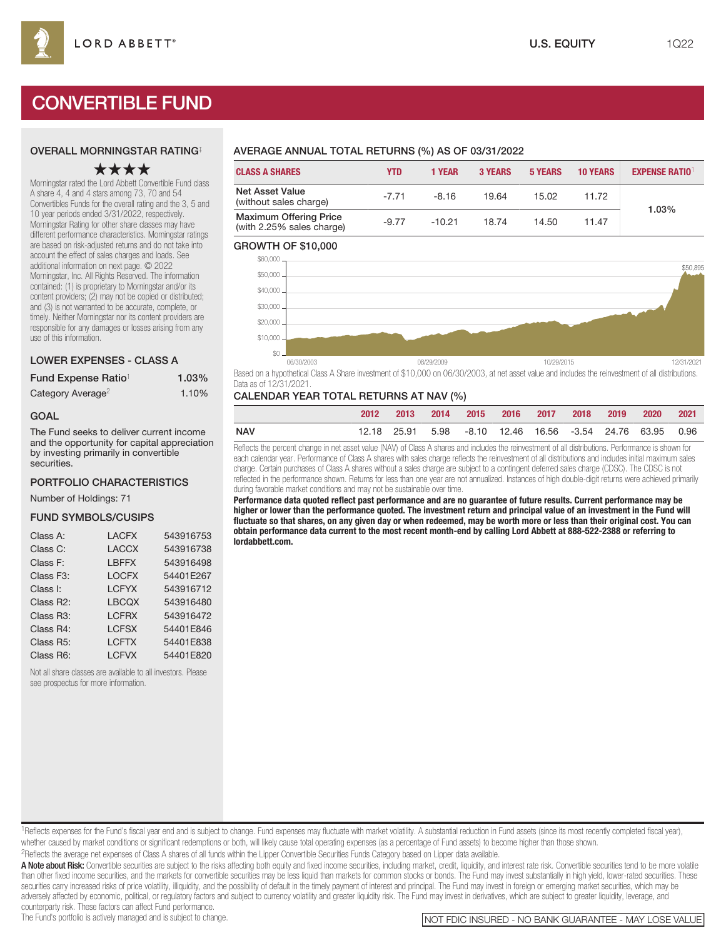# CONVERTIBLE FUND

### OVERALL MORNINGSTAR RATING‡

## ★★★★

Morningstar rated the Lord Abbett Convertible Fund class A share 4, 4 and 4 stars among 73, 70 and 54 Convertibles Funds for the overall rating and the 3, 5 and 10 year periods ended 3/31/2022, respectively. Morningstar Rating for other share classes may have different performance characteristics. Morningstar ratings are based on risk-adjusted returns and do not take into account the effect of sales charges and loads. See additional information on next page. © 2022 Morningstar, Inc. All Rights Reserved. The information contained: (1) is proprietary to Morningstar and/or its content providers; (2) may not be copied or distributed; and (3) is not warranted to be accurate, complete, or timely. Neither Morningstar nor its content providers are responsible for any damages or losses arising from any use of this information.

#### LOWER EXPENSES - CLASS A

| Fund Expense Ratio <sup>1</sup> | $1.03\%$ |
|---------------------------------|----------|
| Category Average <sup>2</sup>   | 1.10%    |

#### GOAL

The Fund seeks to deliver current income and the opportunity for capital appreciation by investing primarily in convertible securities.

#### PORTFOLIO CHARACTERISTICS

Number of Holdings: 71

#### FUND SYMBOLS/CUSIPS

| Class A:               | <b>LACFX</b> | 543916753 |
|------------------------|--------------|-----------|
| Class C:               | <b>LACCX</b> | 543916738 |
| Class F:               | <b>LBFFX</b> | 543916498 |
| Class F <sub>3</sub> : | <b>LOCFX</b> | 54401E267 |
| Class I:               | <b>LCFYX</b> | 543916712 |
| Class R2:              | <b>LBCQX</b> | 543916480 |
| Class R3:              | <b>LCFRX</b> | 543916472 |
| Class R4:              | <b>LCFSX</b> | 54401E846 |
| Class R5:              | <b>LCFTX</b> | 54401E838 |
| Class R6:              | <b>LCFVX</b> | 54401E820 |

Not all share classes are available to all investors. Please see prospectus for more information.

## AVERAGE ANNUAL TOTAL RETURNS (%) AS OF 03/31/2022

| <b>CLASS A SHARES</b>                                      | <b>YTD</b> | 1 YEAR   | <b>3 YEARS</b> | <b>5 YEARS</b> | <b>10 YEARS</b> | <b>EXPENSE RATIO1</b> |  |
|------------------------------------------------------------|------------|----------|----------------|----------------|-----------------|-----------------------|--|
| Net Asset Value<br>(without sales charge)                  | $-7.71$    | $-8.16$  | 19.64          | 15.02          | 11.72           | 1.03%                 |  |
| <b>Maximum Offering Price</b><br>(with 2.25% sales charge) | $-9.77$    | $-10.21$ | 18.74          | 14.50          | 11.47           |                       |  |

#### GROWTH OF \$10,000



Based on a hypothetical Class A Share investment of \$10,000 on 06/30/2003, at net asset value and includes the reinvestment of all distributions. Data as of 12/31/2021.

#### CALENDAR YEAR TOTAL RETURNS AT NAV (%)

|     | 2012 | $-2013$                                                            |  | 2014 2015 2016 2017 2018 2019 |  | 2020 2021 |  |
|-----|------|--------------------------------------------------------------------|--|-------------------------------|--|-----------|--|
| NAV |      | 12.18  25.91  5.98  -8.10  12.46  16.56  -3.54  24.76  63.95  0.96 |  |                               |  |           |  |

Reflects the percent change in net asset value (NAV) of Class A shares and includes the reinvestment of all distributions. Performance is shown for each calendar year. Performance of Class A shares with sales charge reflects the reinvestment of all distributions and includes initial maximum sales charge. Certain purchases of Class A shares without a sales charge are subject to a contingent deferred sales charge (CDSC). The CDSC is not reflected in the performance shown. Returns for less than one year are not annualized. Instances of high double-digit returns were achieved primarily during favorable market conditions and may not be sustainable over time.

**Performance data quoted reflect past performance and are no guarantee of future results. Current performance may be higher or lower than the performance quoted. The investment return and principal value of an investment in the Fund will fluctuate so that shares, on any given day or when redeemed, may be worth more or less than their original cost. You can obtain performance data current to the most recent month-end by calling Lord Abbett at 888-522-2388 or referring to lordabbett.com.**

<sup>1</sup>Reflects expenses for the Fund's fiscal year end and is subject to change. Fund expenses may fluctuate with market volatility. A substantial reduction in Fund assets (since its most recently completed fiscal year), whether caused by market conditions or significant redemptions or both, will likely cause total operating expenses (as a percentage of Fund assets) to become higher than those shown.

2Reflects the average net expenses of Class A shares of all funds within the Lipper Convertible Securities Funds Category based on Lipper data available.

A Note about Risk: Convertible securities are subject to the risks affecting both equity and fixed income securities, including market, credit, liquidity, and interest rate risk. Convertible securities tend to be more vola than other fixed income securities, and the markets for convertible securities may be less liquid than markets for common stocks or bonds. The Fund may invest substantially in high yield, lower-rated securities. These securities carry increased risks of price volatility, illiquidity, and the possibility of default in the timely payment of interest and principal. The Fund may invest in foreign or emerging market securities, which may be adversely affected by economic, political, or regulatory factors and subject to currency volatility and greater liquidity risk. The Fund may invest in derivatives, which are subject to greater liquidity, leverage, and counterparty risk. These factors can affect Fund performance.